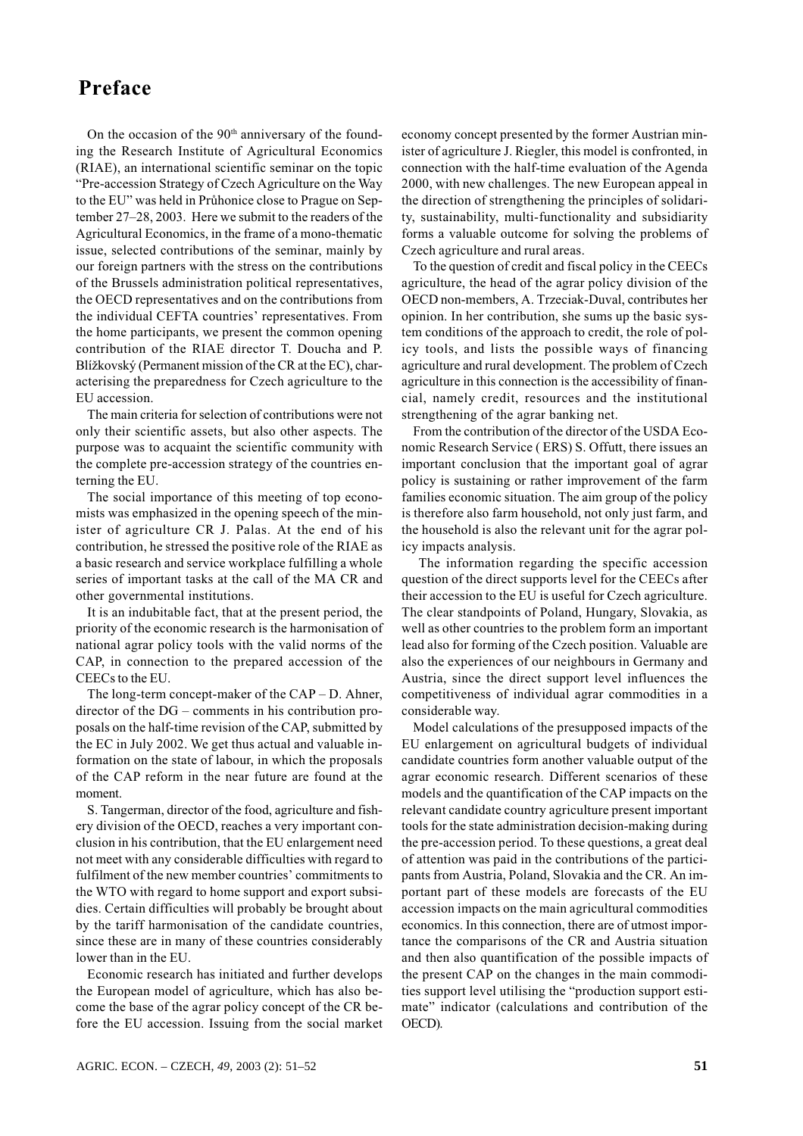## Preface

On the occasion of the 90<sup>th</sup> anniversary of the founding the Research Institute of Agricultural Economics (RIAE), an international scientific seminar on the topic "Pre-accession Strategy of Czech Agriculture on the Way to the EU" was held in Průhonice close to Prague on September 27–28, 2003. Here we submit to the readers of the Agricultural Economics, in the frame of a mono-thematic issue, selected contributions of the seminar, mainly by our foreign partners with the stress on the contributions of the Brussels administration political representatives, the OECD representatives and on the contributions from the individual CEFTA countries' representatives. From the home participants, we present the common opening contribution of the RIAE director T. Doucha and P. Blížkovský (Permanent mission of the CR at the EC), characterising the preparedness for Czech agriculture to the EU accession.

The main criteria for selection of contributions were not only their scientific assets, but also other aspects. The purpose was to acquaint the scientific community with the complete pre-accession strategy of the countries enterning the EU.

The social importance of this meeting of top economists was emphasized in the opening speech of the minister of agriculture CR J. Palas. At the end of his contribution, he stressed the positive role of the RIAE as a basic research and service workplace fulfilling a whole series of important tasks at the call of the MA CR and other governmental institutions.

It is an indubitable fact, that at the present period, the priority of the economic research is the harmonisation of national agrar policy tools with the valid norms of the CAP, in connection to the prepared accession of the CEECs to the EU.

The long-term concept-maker of the  $CAP - D$ . Ahner, director of the  $DG$  – comments in his contribution proposals on the half-time revision of the CAP, submitted by the EC in July 2002. We get thus actual and valuable information on the state of labour, in which the proposals of the CAP reform in the near future are found at the moment.

S. Tangerman, director of the food, agriculture and fishery division of the OECD, reaches a very important conclusion in his contribution, that the EU enlargement need not meet with any considerable difficulties with regard to fulfilment of the new member countries' commitments to the WTO with regard to home support and export subsidies. Certain difficulties will probably be brought about by the tariff harmonisation of the candidate countries, since these are in many of these countries considerably lower than in the EU.

Economic research has initiated and further develops the European model of agriculture, which has also become the base of the agrar policy concept of the CR before the EU accession. Issuing from the social market economy concept presented by the former Austrian minister of agriculture J. Riegler, this model is confronted, in connection with the half-time evaluation of the Agenda 2000, with new challenges. The new European appeal in the direction of strengthening the principles of solidarity, sustainability, multi-functionality and subsidiarity forms a valuable outcome for solving the problems of Czech agriculture and rural areas.

To the question of credit and fiscal policy in the CEECs agriculture, the head of the agrar policy division of the OECD non-members, A. Trzeciak-Duval, contributes her opinion. In her contribution, she sums up the basic system conditions of the approach to credit, the role of policy tools, and lists the possible ways of financing agriculture and rural development. The problem of Czech agriculture in this connection is the accessibility of financial, namely credit, resources and the institutional strengthening of the agrar banking net.

From the contribution of the director of the USDA Economic Research Service (ERS) S. Offutt, there issues an important conclusion that the important goal of agrar policy is sustaining or rather improvement of the farm families economic situation. The aim group of the policy is therefore also farm household, not only just farm, and the household is also the relevant unit for the agrar policy impacts analysis.

The information regarding the specific accession question of the direct supports level for the CEECs after their accession to the EU is useful for Czech agriculture. The clear standpoints of Poland, Hungary, Slovakia, as well as other countries to the problem form an important lead also for forming of the Czech position. Valuable are also the experiences of our neighbours in Germany and Austria, since the direct support level influences the competitiveness of individual agrar commodities in a considerable way.

Model calculations of the presupposed impacts of the EU enlargement on agricultural budgets of individual candidate countries form another valuable output of the agrar economic research. Different scenarios of these models and the quantification of the CAP impacts on the relevant candidate country agriculture present important tools for the state administration decision-making during the pre-accession period. To these questions, a great deal of attention was paid in the contributions of the participants from Austria, Poland, Slovakia and the CR. An important part of these models are forecasts of the EU accession impacts on the main agricultural commodities economics. In this connection, there are of utmost importance the comparisons of the CR and Austria situation and then also quantification of the possible impacts of the present CAP on the changes in the main commodities support level utilising the "production support estimate" indicator (calculations and contribution of the OECD).